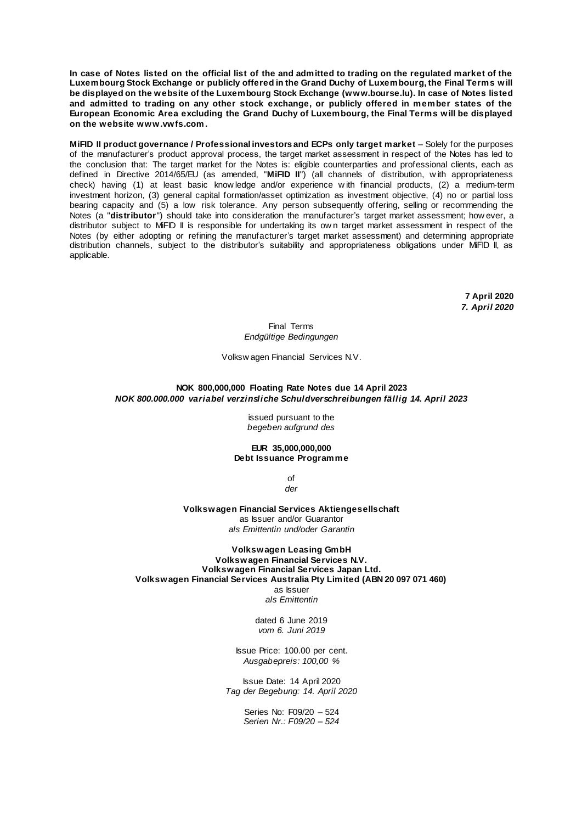**In case of Notes listed on the official list of the and admitted to trading on the regulated market of the Luxembourg Stock Exchange or publicly offered in the Grand Duchy of Luxembourg, the Final Terms will be displayed on the website of the Luxembourg Stock Exchange (www.bourse.lu). In case of Notes listed and admitted to trading on any other stock exchange, or publicly offered in member states of the European Economic Area excluding the Grand Duchy of Luxembourg, the Final Terms will be displayed on the website www.vwfs.com.**

**MiFID II product governance / Professional investors and ECPs only target market** – Solely for the purposes of the manufacturer's product approval process, the target market assessment in respect of the Notes has led to the conclusion that: The target market for the Notes is: eligible counterparties and professional clients, each as defined in Directive 2014/65/EU (as amended, "**MiFID II**") (all channels of distribution, w ith appropriateness check) having (1) at least basic know ledge and/or experience w ith financial products, (2) a medium-term investment horizon, (3) general capital formation/asset optimization as investment objective, (4) no or partial loss bearing capacity and (5) a low risk tolerance. Any person subsequently offering, selling or recommending the Notes (a "**distributor**") should take into consideration the manufacturer's target market assessment; how ever, a distributor subject to MiFID II is responsible for undertaking its ow n target market assessment in respect of the Notes (by either adopting or refining the manufacturer's target market assessment) and determining appropriate distribution channels, subject to the distributor's suitability and appropriateness obligations under MiFID II, as applicable.

> **7 April 2020** *7. April 2020*

Final Terms *Endgültige Bedingungen*

Volksw agen Financial Services N.V.

# **NOK 800,000,000 Floating Rate Notes due 14 April 2023** *NOK 800.000.000 variabel verzinsliche Schuldverschreibungen fällig 14. April 2023*

issued pursuant to the *begeben aufgrund des*

**EUR 35,000,000,000 Debt Issuance Programme**

> of *der*

**Volkswagen Financial Services Aktiengesellschaft** as Issuer and/or Guarantor *als Emittentin und/oder Garantin*

**Volkswagen Leasing GmbH Volkswagen Financial Services N.V. Volkswagen Financial Services Japan Ltd. Volkswagen Financial Services Australia Pty Limited (ABN 20 097 071 460)** as Issuer *als Emittentin*

> dated 6 June 2019 *vom 6. Juni 2019*

Issue Price: 100.00 per cent. *Ausgabepreis: 100,00 %*

Issue Date: 14 April 2020 *Tag der Begebung: 14. April 2020*

> Series No: F09/20 – 524 *Serien Nr.: F09/20 – 524*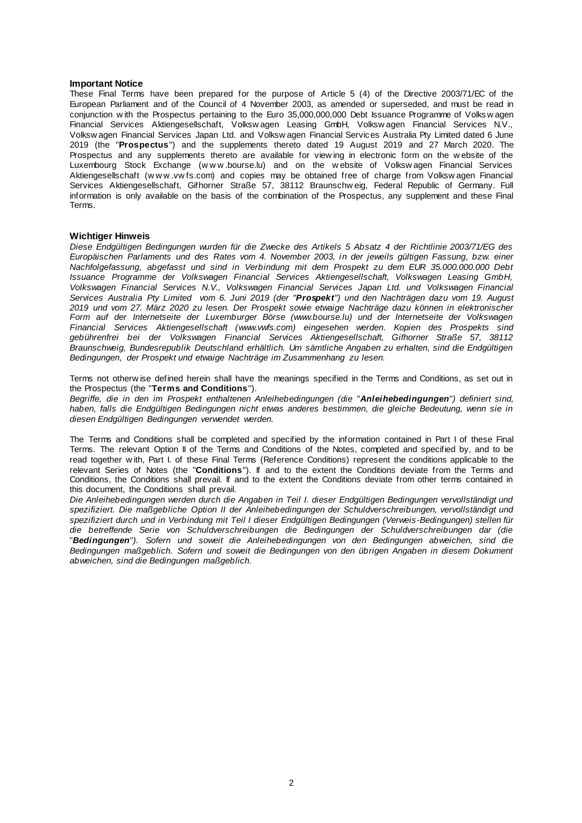#### **Important Notice**

These Final Terms have been prepared for the purpose of Article 5 (4) of the Directive 2003/71/EC of the European Parliament and of the Council of 4 November 2003, as amended or superseded, and must be read in conjunction w ith the Prospectus pertaining to the Euro 35,000,000,000 Debt Issuance Programme of Volks w agen Financial Services Aktiengesellschaft, Volksw agen Leasing GmbH, Volksw agen Financial Services N.V., Volksw agen Financial Services Japan Ltd. and Volksw agen Financial Services Australia Pty Limited dated 6 June 2019 (the "**Prospectus**") and the supplements thereto dated 19 August 2019 and 27 March 2020. The Prospectus and any supplements thereto are available for view ing in electronic form on the w ebsite of the Luxembourg Stock Exchange (w w w .bourse.lu) and on the w ebsite of Volksw agen Financial Services Aktiengesellschaft (w w w .vw fs.com) and copies may be obtained free of charge from Volksw agen Financial Services Aktiengesellschaft, Gifhorner Straße 57, 38112 Braunschw eig, Federal Republic of Germany. Full information is only available on the basis of the combination of the Prospectus, any supplement and these Final Terms.

### **Wichtiger Hinweis**

*Diese Endgültigen Bedingungen wurden für die Zwecke des Artikels 5 Absatz 4 der Richtlinie 2003/71/EG des Europäischen Parlaments und des Rates vom 4. November 2003, in der jeweils gültigen Fassung, bzw. einer Nachfolgefassung, abgefasst und sind in Verbindung mit dem Prospekt zu dem EUR 35.000.000.000 Debt Issuance Programme der Volkswagen Financial Services Aktiengesellschaft, Volkswagen Leasing GmbH, Volkswagen Financial Services N.V., Volkswagen Financial Services Japan Ltd. und Volkswagen Financial Services Australia Pty Limited vom 6. Juni 2019 (der "Prospekt") und den Nachträgen dazu vom 19. August 2019 und vom 27. März 2020 zu lesen. Der Prospekt sowie etwaige Nachträge dazu können in elektronischer Form auf der Internetseite der Luxemburger Börse (www.bourse.lu) und der Internetseite der Volkswagen Financial Services Aktiengesellschaft (www.vwfs.com) eingesehen werden. Kopien des Prospekts sind gebührenfrei bei der Volkswagen Financial Services Aktiengesellschaft, Gifhorner Straße 57, 38112 Braunschweig, Bundesrepublik Deutschland erhältlich. Um sämtliche Angaben zu erhalten, sind die Endgültigen Bedingungen, der Prospekt und etwaige Nachträge im Zusammenhang zu lesen.*

Terms not otherw ise defined herein shall have the meanings specified in the Terms and Conditions, as set out in the Prospectus (the "**Terms and Conditions**").

*Begriffe, die in den im Prospekt enthaltenen Anleihebedingungen (die* "*Anleihebedingungen*"*) definiert sind, haben, falls die Endgültigen Bedingungen nicht etwas anderes bestimmen, die gleiche Bedeutung, wenn sie in diesen Endgültigen Bedingungen verwendet werden.*

The Terms and Conditions shall be completed and specified by the information contained in Part I of these Final Terms. The relevant Option II of the Terms and Conditions of the Notes, completed and specified by, and to be read together w ith, Part I. of these Final Terms (Reference Conditions) represent the conditions applicable to the relevant Series of Notes (the "**Conditions**"). If and to the extent the Conditions deviate from the Terms and Conditions, the Conditions shall prevail. If and to the extent the Conditions deviate from other terms contained in this document, the Conditions shall prevail.

*Die Anleihebedingungen werden durch die Angaben in Teil I. dieser Endgültigen Bedingungen vervollständigt und spezifiziert. Die maßgebliche Option II der Anleihebedingungen der Schuldverschreibungen, vervollständigt und spezifiziert durch und in Verbindung mit Teil I dieser Endgültigen Bedingungen (Verweis-Bedingungen) stellen für die betreffende Serie von Schuldverschreibungen die Bedingungen der Schuldverschreibungen dar (die*  "*Bedingungen*"*). Sofern und soweit die Anleihebedingungen von den Bedingungen abweichen, sind die Bedingungen maßgeblich. Sofern und soweit die Bedingungen von den übrigen Angaben in diesem Dokument abweichen, sind die Bedingungen maßgeblich.*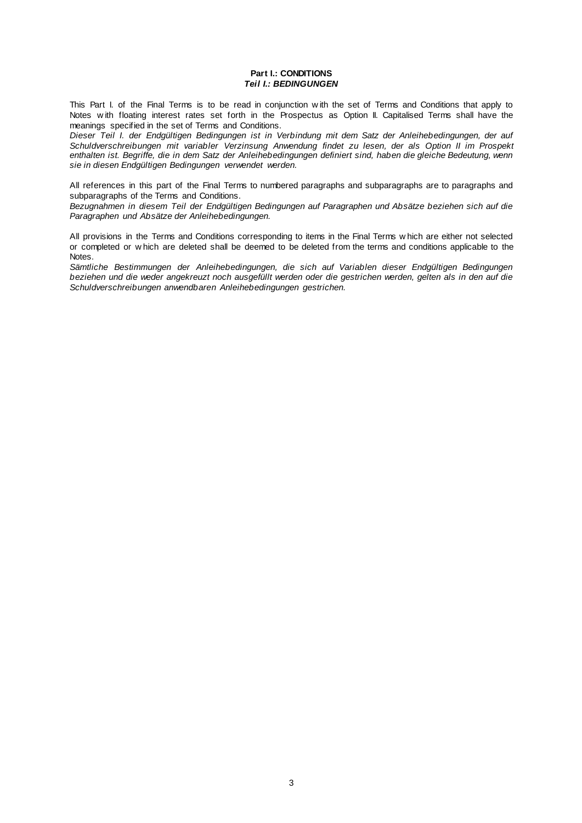### **Part I.: CONDITIONS** *Teil I.: BEDINGUNGEN*

This Part I. of the Final Terms is to be read in conjunction w ith the set of Terms and Conditions that apply to Notes w ith floating interest rates set forth in the Prospectus as Option II. Capitalised Terms shall have the meanings specified in the set of Terms and Conditions.

*Dieser Teil I. der Endgültigen Bedingungen ist in Verbindung mit dem Satz der Anleihebedingungen, der auf Schuldverschreibungen mit variabler Verzinsung Anwendung findet zu lesen, der als Option II im Prospekt enthalten ist. Begriffe, die in dem Satz der Anleihebedingungen definiert sind, haben die gleiche Bedeutung, wenn sie in diesen Endgültigen Bedingungen verwendet werden.*

All references in this part of the Final Terms to numbered paragraphs and subparagraphs are to paragraphs and subparagraphs of the Terms and Conditions.

*Bezugnahmen in diesem Teil der Endgültigen Bedingungen auf Paragraphen und Absätze beziehen sich auf die Paragraphen und Absätze der Anleihebedingungen.*

All provisions in the Terms and Conditions corresponding to items in the Final Terms w hich are either not selected or completed or w hich are deleted shall be deemed to be deleted from the terms and conditions applicable to the Notes.

*Sämtliche Bestimmungen der Anleihebedingungen, die sich auf Variablen dieser Endgültigen Bedingungen beziehen und die weder angekreuzt noch ausgefüllt werden oder die gestrichen werden, gelten als in den auf die Schuldverschreibungen anwendbaren Anleihebedingungen gestrichen.*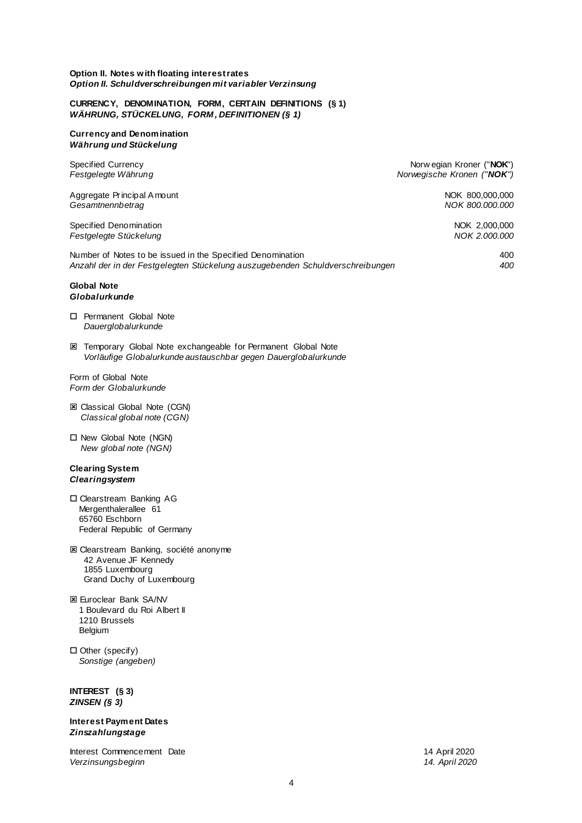#### **Option II. Notes with floating interest rates** *Option II. Schuldverschreibungen mit variabler Verzinsung*

### **CURRENCY, DENOMINATION, FORM, CERTAIN DEFINITIONS (§ 1)** *WÄHRUNG, STÜCKELUNG, FORM , DEFINITIONEN (§ 1)*

### **Currency and Denomination** *Währung und Stückelung*

Aggregate Principal A mount NOK 800,000,000 *Gesamtnennbetrag NOK 800.000.000*

Specified Denomination **NOK 2,000,000** Specified Denomination *Festgelegte Stückelung NOK 2.000.000*

Number of Notes to be issued in the Specified Denomination 400 *Anzahl der in der Festgelegten Stückelung auszugebenden Schuldverschreibungen 400*

# **Global Note** *Globalurkunde*

- □ Permanent Global Note *Dauerglobalurkunde*
- Temporary Global Note exchangeable for Permanent Global Note *Vorläufige Globalurkunde austauschbar gegen Dauerglobalurkunde*

Form of Global Note *Form der Globalurkunde*

- Classical Global Note (CGN) *Classical global note (CGN)*
- New Global Note (NGN) *New global note (NGN)*

### **Clearing System** *Clearingsystem*

- □ Clearstream Banking AG Mergenthalerallee 61 65760 Eschborn Federal Republic of Germany
- Clearstream Banking, société anonyme 42 Avenue JF Kennedy 1855 Luxembourg Grand Duchy of Luxembourg
- Euroclear Bank SA/NV 1 Boulevard du Roi Albert II 1210 Brussels Belgium
- $\Box$  Other (specify) *Sonstige (angeben)*

# **INTEREST (§ 3)** *ZINSEN (§ 3)*

# **Interest Payment Dates** *Zinszahlungstage*

Interest Commencement Date 14 April 2020 *Verzinsungsbeginn 14. April 2020*

Specified Currency **Norw egian Kroner ("NOK")** Norw egian Kroner ("NOK") *Festgelegte Währung Norwegische Kronen ("NOK")*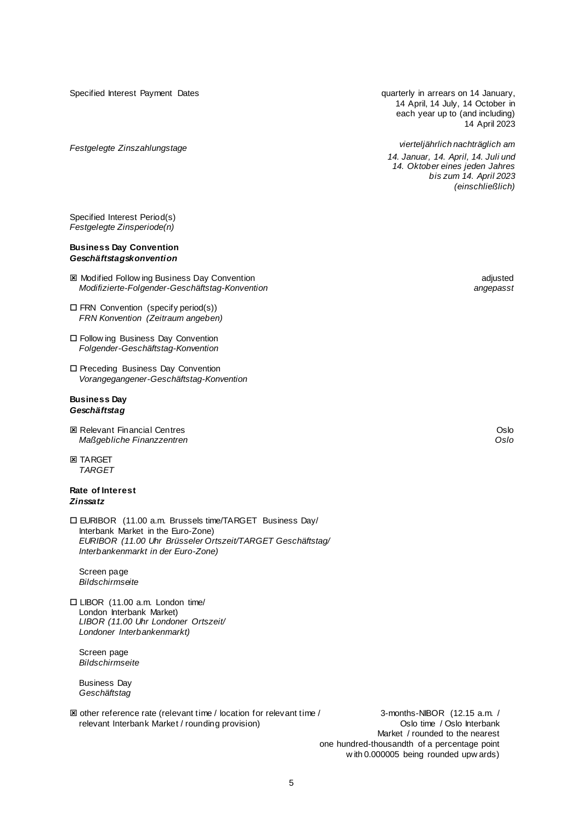Specified Interest Payment Dates

*Festgelegte Zinszahlungstage*

quarterly in arrears on 14 January, 14 April, 14 July, 14 October in each year up to (and including) 14 April 2023

*vierteljährlich nachträglich am 14. Januar, 14. April, 14. Juli und 14. Oktober eines jeden Jahres bis zum 14. April 2023 (einschließlich)*

Specified Interest Period(s) *Festgelegte Zinsperiode(n)*

### **Business Day Convention** *Geschäftstagskonvention*

- 图 Modified Follow ing Business Day Convention<br>Modifizierte-Folgender-Geschäftstag-Konvention adjusted angebasst *Modifizierte-Folgender-Geschäftstag-Konvention angepasst*
- $\Box$  FRN Convention (specify period(s)) *FRN Konvention (Zeitraum angeben)*
- Follow ing Business Day Convention *Folgender-Geschäftstag-Konvention*
- Preceding Business Day Convention *Vorangegangener-Geschäftstag-Konvention*

# **Business Day** *Geschäftstag*

- 图 Relevant Financial Centres **Oslo District Centres** Oslo **District Centres** Oslo **Oslo Oslo Oslo Oslo Oslo Oslo Oslo Oslo** *Maßgebliche Finanzzentren Oslo*
- **EX TARGET** *TARGET*

# **Rate of Interest** *Zinssatz*

 EURIBOR (11.00 a.m. Brussels time/TARGET Business Day/ Interbank Market in the Euro-Zone) *EURIBOR (11.00 Uhr Brüsseler Ortszeit/TARGET Geschäftstag/ Interbankenmarkt in der Euro-Zone)*

Screen page *Bildschirmseite*

 LIBOR (11.00 a.m. London time/ London Interbank Market) *LIBOR (11.00 Uhr Londoner Ortszeit/ Londoner Interbankenmarkt)*

Screen page *Bildschirmseite*

Business Day *Geschäftstag*

 other reference rate (relevant time / location for relevant time / 3-months-NIBOR (12.15 a.m. / relevant Interbank Market / rounding provision)

Market / rounded to the nearest one hundred-thousandth of a percentage point w ith 0.000005 being rounded upw ards)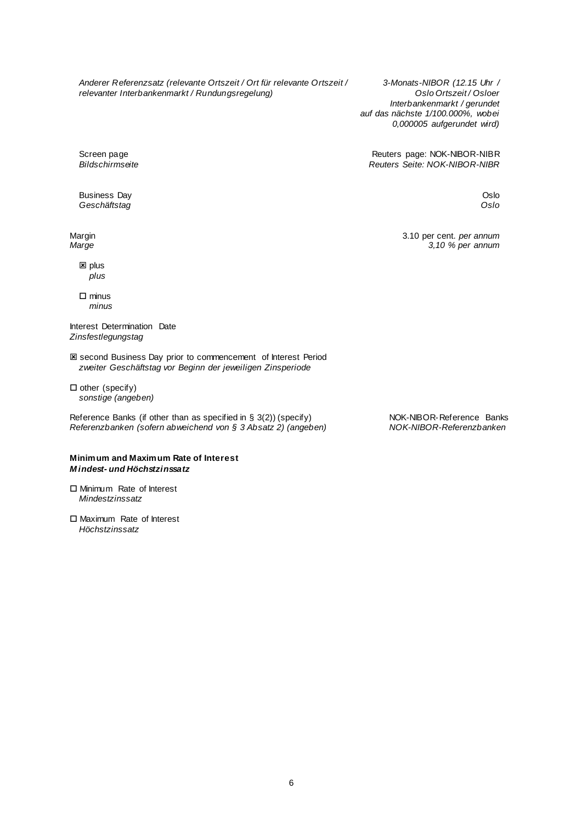*Anderer Referenzsatz (relevante Ortszeit / Ort für relevante Ortszeit / 3-Monats-NIBOR (12.15 Uhr / relevanter Interbankenmarkt / Rundungsregelung*)

*Interbankenmarkt / gerundet auf das nächste 1/100.000%, wobei 0,000005 aufgerundet wird)*

Screen page **Screen page Screen page: NOK-NIBOR-NIBR**<br>Bildschirmseite **Reuters Page: NOK-NIBOR-NIBR** *Bildschirmseite Reuters Seite: NOK-NIBOR-NIBR*

Business Day **Oslo** Charles Control of the Charles Control of the Charles Control of the Charles Control of the Charles Control of the Charles Control of the Charles Control of the Charles Control of the Charles Control of **Geschäftstag Community Community Community Community Community Community Community Community Community Community** 

 $\boxtimes$  plus *plus*

 $\square$  minus *minus*

Interest Determination Date *Zinsfestlegungstag*

 second Business Day prior to commencement of Interest Period *zweiter Geschäftstag vor Beginn der jeweiligen Zinsperiode*

 $\Box$  other (specify) *sonstige (angeben)*

Reference Banks (if other than as specified in § 3(2)) (specify) NOK-NIBOR-Reference Banks *Referenzbanken (sofern abweichend von § 3 Absatz 2) (angeben) NOK-NIBOR-Referenzbanken*

# **Minimum and Maximum Rate of Interest** *M indest- und Höchstzinssatz*

□ Minimum Rate of Interest *Mindestzinssatz*

□ Maximum Rate of Interest *Höchstzinssatz*

Margin 3.10 per cent. *per annum*<br>
3.10 per cent. *per annum*<br>
3,10 % per annum *Marge 3,10 % per annum*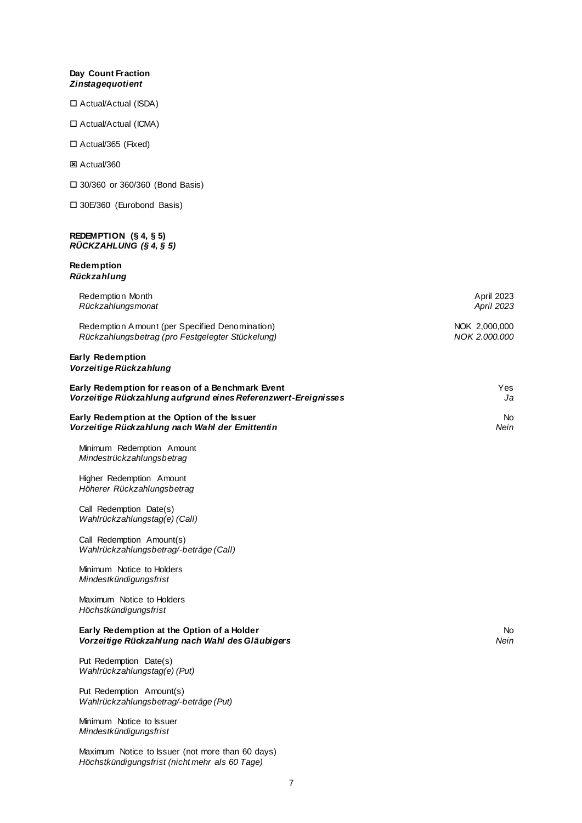# **Day Count Fraction** *Zinstagequotient*

Actual/Actual (ISDA)

Actual/Actual (ICMA)

# Actual/365 (Fixed)

Actual/360

30/360 or 360/360 (Bond Basis)

30E/360 (Eurobond Basis)

#### **REDEMPTION (§ 4, § 5)** *RÜCKZAHLUNG (§ 4, § 5)*

# **Redemption** *Rückzahlung*

| Redemption Month<br>Rückzahlungsmonat                                                                              | April 2023<br><b>April 2023</b> |
|--------------------------------------------------------------------------------------------------------------------|---------------------------------|
| Redemption Amount (per Specified Denomination)<br>Rückzahlungsbetrag (pro Festgelegter Stückelung)                 | NOK 2,000,000<br>NOK 2.000.000  |
| Early Redemption<br>Vorzeitige Rückzahlung                                                                         |                                 |
| Early Redemption for reason of a Benchmark Event<br>Vorzeitige Rückzahlung aufgrund eines Referenzwert-Ereignisses | Yes<br>Ja                       |
| Early Redemption at the Option of the Issuer<br>Vorzeitige Rückzahlung nach Wahl der Emittentin                    | No.<br>Nein                     |
| Minimum Redemption Amount<br>Mindestrückzahlungsbetrag                                                             |                                 |
| Higher Redemption Amount<br>Höherer Rückzahlungsbetrag                                                             |                                 |
| Call Redemption Date(s)<br>Wahlrückzahlungstag(e) (Call)                                                           |                                 |
| Call Redemption Amount(s)<br>Wahlrückzahlungsbetrag/-beträge (Call)                                                |                                 |
| Minimum Notice to Holders<br>Mindestkündigungsfrist                                                                |                                 |
| Maximum Notice to Holders<br>Höchstkündigungsfrist                                                                 |                                 |
| Early Redemption at the Option of a Holder<br>Vorzeitige Rückzahlung nach Wahl des Gläubigers                      | No.<br>Nein                     |
| Put Redemption Date(s)<br>Wahlrückzahlungstag(e) (Put)                                                             |                                 |
| Put Redemption Amount(s)<br>Wahlrückzahlungsbetrag/-beträge (Put)                                                  |                                 |
| Minimum Notice to Issuer<br>Mindestkündigungsfrist                                                                 |                                 |
| Maximum Notice to Issuer (not more than 60 days)                                                                   |                                 |

*Höchstkündigungsfrist (nicht mehr als 60 Tage)*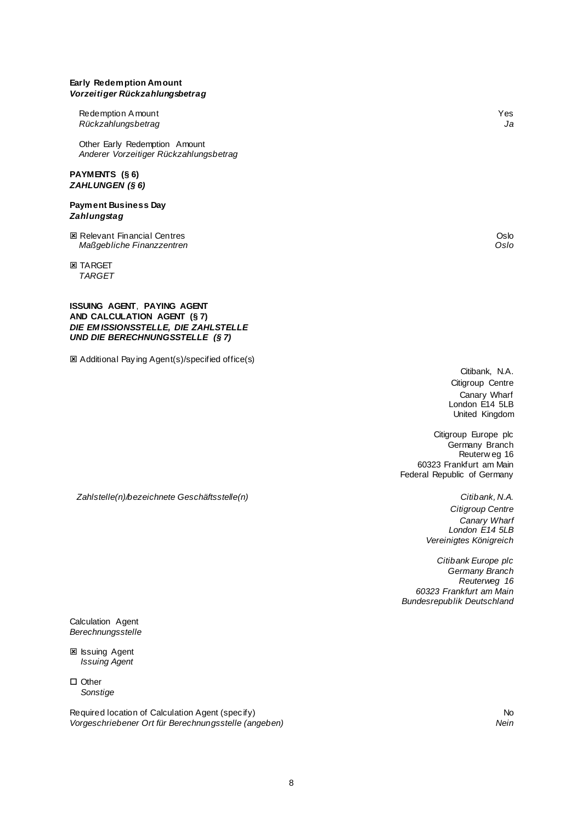# **Early Redemption Amount** *Vorzeitiger Rückzahlungsbetrag*

Redemption A mount Yes<br>Rückzahlungsbetrag National State of the Second State of the Second State of the Second State of the Second St *Rückzahlungsbetrag Ja*

Other Early Redemption Amount *Anderer Vorzeitiger Rückzahlungsbetrag*

### **PAYMENTS (§ 6)** *ZAHLUNGEN (§ 6)*

### **Payment Business Day** *Zahlungstag*

図 Relevant Financial Centres and the control of the control of the control of the control of the control of th<br>Maßgebliche Finanzzentren and the control of the control of the control of the control of the control of the c  $M$ aßgebliche Finanzzentren

**EX TARGET** *TARGET*

# **ISSUING AGENT**, **PAYING AGENT AND CALCULATION AGENT (§ 7)** *DIE EM ISSIONSSTELLE, DIE ZAHLSTELLE UND DIE BERECHNUNGSSTELLE (§ 7)*

**E** Additional Paying Agent(s)/specified office(s)

Citibank, N.A. Citigroup Centre Canary Wharf London E14 5LB United Kingdom

Citigroup Europe plc Germany Branch Reuterw eg 16 60323 Frankfurt am Main Federal Republic of Germany

*Zahlstelle(n)/bezeichnete Geschäftsstelle(n) Citibank, N.A.*

*Citigroup Centre Canary Wharf London E14 5LB Vereinigtes Königreich*

*Citibank Europe plc Germany Branch Reuterweg 16 60323 Frankfurt am Main Bundesrepublik Deutschland*

Calculation Agent *Berechnungsstelle*

**E** Issuing Agent *Issuing Agent*

□ Other *Sonstige*

Required location of Calculation Agent (specify)<br>
Vorgeschriebener Ort für Berechnungsstelle (angeben)<br>
Nein *Vorgeschriebener Ort für Berechnungsstelle (angeben) Nein*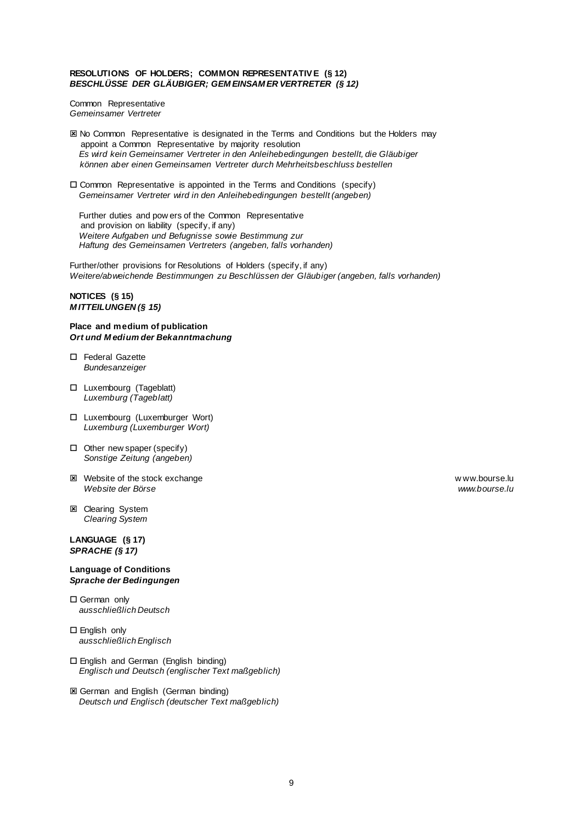# **RESOLUTIONS OF HOLDERS; COMMON REPRESENTATIV E (§ 12)** *BESCHLÜSSE DER GLÄUBIGER; GEM EINSAM ER VERTRETER (§ 12)*

Common Representative *Gemeinsamer Vertreter*

- **EX No Common Representative is designated in the Terms and Conditions but the Holders may** appoint a Common Representative by majority resolution *Es wird kein Gemeinsamer Vertreter in den Anleihebedingungen bestellt, die Gläubiger können aber einen Gemeinsamen Vertreter durch Mehrheitsbeschluss bestellen*
- $\square$  Common Representative is appointed in the Terms and Conditions (specify) *Gemeinsamer Vertreter wird in den Anleihebedingungen bestellt (angeben)*

Further duties and pow ers of the Common Representative and provision on liability (specify, if any) *Weitere Aufgaben und Befugnisse sowie Bestimmung zur Haftung des Gemeinsamen Vertreters (angeben, falls vorhanden)*

Further/other provisions for Resolutions of Holders (specify, if any) *Weitere/abweichende Bestimmungen zu Beschlüssen der Gläubiger (angeben, falls vorhanden)*

### **NOTICES (§ 15)** *M ITTEILUNGEN (§ 15)*

### **Place and medium of publication** *Ort und M edium der Bekanntmachung*

- □ Federal Gazette *Bundesanzeiger*
- Luxembourg (Tageblatt) *Luxemburg (Tageblatt)*
- Luxembourg (Luxemburger Wort) *Luxemburg (Luxemburger Wort)*
- $\Box$  Other new spaper (specify) *Sonstige Zeitung (angeben)*
- 図 Website of the stock exchange www.bourse.lu<br>Website der Börse w ww.bourse.lu<br>Website der Börse *Website der Börse www.bourse.lu*
- **E** Clearing System *Clearing System*

### **LANGUAGE (§ 17)** *SPRACHE (§ 17)*

### **Language of Conditions** *Sprache der Bedingungen*

- □ German only *ausschließlich Deutsch*
- □ English only *ausschließlich Englisch*
- English and German (English binding) *Englisch und Deutsch (englischer Text maßgeblich)*
- **E** German and English (German binding) *Deutsch und Englisch (deutscher Text maßgeblich)*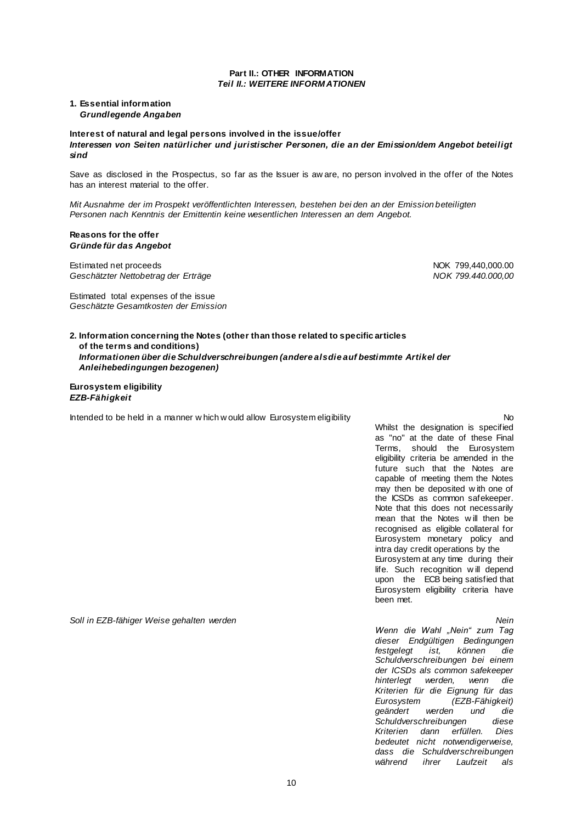#### **Part II.: OTHER INFORMATION** *Teil II.: WEITERE INFORM ATIONEN*

# **1. Essential information** *Grundlegende Angaben*

**Interest of natural and legal persons involved in the issue/offer**  *Interessen von Seiten natürlicher und juristischer Personen, die an der Emission/dem Angebot beteiligt sind*

Save as disclosed in the Prospectus, so far as the Issuer is aw are, no person involved in the offer of the Notes has an interest material to the offer.

*Mit Ausnahme der im Prospekt veröffentlichten Interessen, bestehen bei den an der Emission beteiligten Personen nach Kenntnis der Emittentin keine wesentlichen Interessen an dem Angebot.*

### **Reasons for the offer** *Gründe für das Angebot*

Estimated net proceeds<br>
Geschätzter Nettobetrag der Erträge<br>
Geschätzter Nettobetrag der Erträge *Geschätzter Nettobetrag der Erträge* 

Estimated total expenses of the issue *Geschätzte Gesamtkosten der Emission*

**2. Information concerning the Notes (other than those related to specific articles of the terms and conditions)** *Informationen über die Schuldverschreibungen (andere als die auf bestimmte Artikel der Anleihebedingungen bezogenen)*

### **Eurosystem eligibility** *EZB-Fähigkeit*

Intended to be held in a manner w hich w ould allow Eurosystem eligibility **No. Intended to be held in a manner w** hich w ould allow Eurosystem eligibility

Whilst the designation is specified as "no" at the date of these Final Terms, should the Eurosystem eligibility criteria be amended in the future such that the Notes are capable of meeting them the Notes may then be deposited w ith one of the ICSDs as common safekeeper. Note that this does not necessarily mean that the Notes w ill then be recognised as eligible collateral for Eurosystem monetary policy and intra day credit operations by the Eurosystem at any time during their life. Such recognition w ill depend upon the ECB being satisfied that Eurosystem eligibility criteria have been met.

*Soll in EZB-fähiger Weise gehalten werden Nein*

*Wenn die Wahl "Nein" zum Tag dieser Endgültigen Bedingungen festgelegt ist, können die Schuldverschreibungen bei einem der ICSDs als common safekeeper hinterlegt werden, wenn die Kriterien für die Eignung für das Eurosystem (EZB-Fähigkeit) geändert werden und die Schuldverschreibungen diese Kriterien dann erfüllen. Dies bedeutet nicht notwendigerweise, dass die Schuldverschreibungen während ihrer Laufzeit als*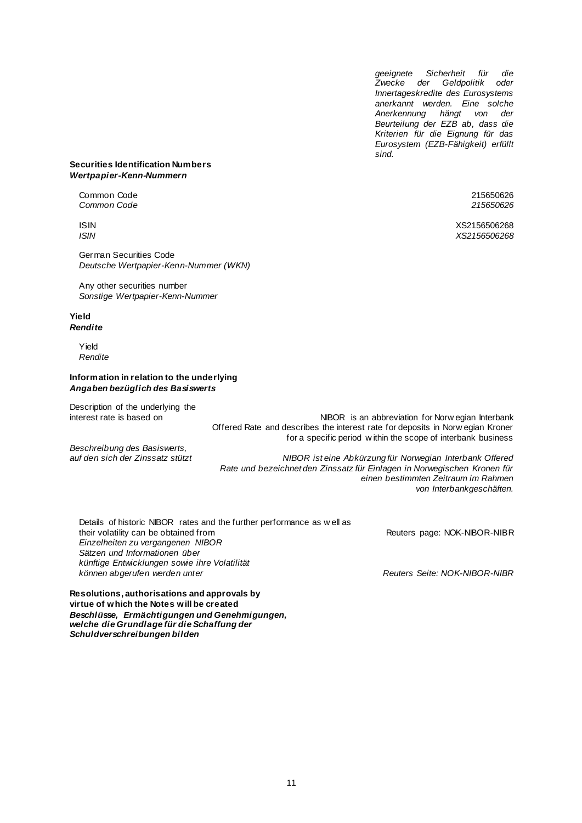*geeignete Sicherheit für die Zwecke der Geldpolitik oder Innertageskredite des Eurosystems anerkannt werden. Eine solche Anerkennung hängt von der Beurteilung der EZB ab, dass die Kriterien für die Eignung für das Eurosystem (EZB-Fähigkeit) erfüllt sind.*

# **Securities Identification Numbers** *Wertpapier-Kenn-Nummern*

Common Code 215650626 *Common Code 215650626*

German Securities Code *Deutsche Wertpapier-Kenn-Nummer (WKN)*

Any other securities number *Sonstige Wertpapier-Kenn-Nummer*

# **Yield** *Rendite*

Yield *Rendite*

# **Information in relation to the underlying** *Angaben bezüglich des Basiswerts*

Description of the underlying the interest rate is based on

*Beschreibung des Basiswerts,*

NIBOR is an abbreviation for Norw egian Interbank Offered Rate and describes the interest rate for deposits in Norw egian Kroner for a specific period w ithin the scope of interbank business

*auf den sich der Zinssatz stützt NIBOR ist eine Abkürzung für Norwegian Interbank Offered Rate und bezeichnet den Zinssatz für Einlagen in Norwegischen Kronen für einen bestimmten Zeitraum im Rahmen von Interbankgeschäften.*

| Details of historic NIBOR rates and the further performance as well as |                               |
|------------------------------------------------------------------------|-------------------------------|
| their volatility can be obtained from                                  | Reuters page: NOK-NIBOR-NIBR  |
| Einzelheiten zu vergangenen NIBOR                                      |                               |
| Sätzen und Informationen über                                          |                               |
| künftige Entwicklungen sowie ihre Volatilität                          |                               |
| können abgerufen werden unter                                          | Reuters Seite: NOK-NIBOR-NIBR |
|                                                                        |                               |

**Resolutions, authorisations and approvals by virtue of which the Notes will be created** *Beschlüsse, Ermächtigungen und Genehmigungen, welche die Grundlage für die Schaffung der Schuldverschreibungen bilden*

ISIN XS2156506268 *ISIN XS2156506268*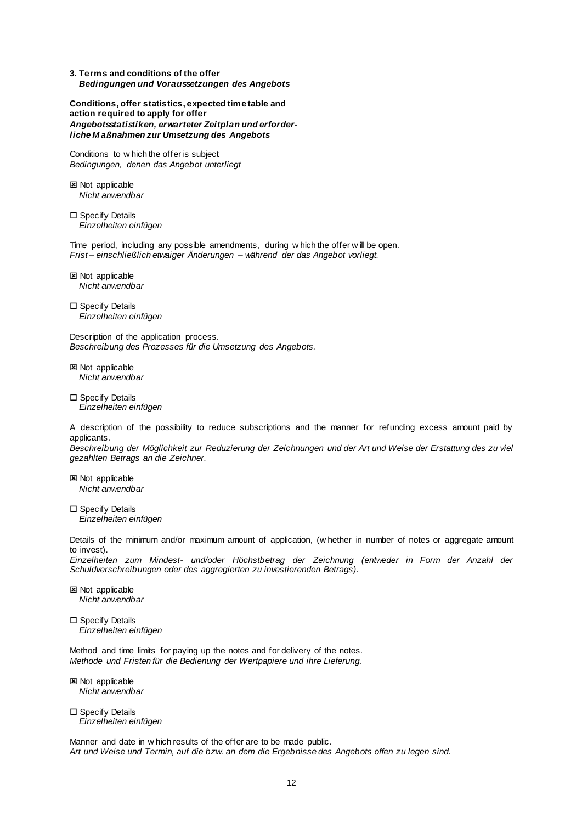**3. Terms and conditions of the offer** *Bedingungen und Voraussetzungen des Angebots*

**Conditions, offer statistics, expected time table and action required to apply for offer** *Angebotsstatistiken, erwarteter Zeitplan und erforderliche M aßnahmen zur Umsetzung des Angebots*

Conditions to w hich the offer is subject *Bedingungen, denen das Angebot unterliegt*

**図 Not applicable** *Nicht anwendbar*

□ Specify Details *Einzelheiten einfügen*

Time period, including any possible amendments, during w hich the offer w ill be open. *Frist – einschließlich etwaiger Änderungen – während der das Angebot vorliegt.*

**図 Not applicable** *Nicht anwendbar*

□ Specify Details *Einzelheiten einfügen*

Description of the application process. *Beschreibung des Prozesses für die Umsetzung des Angebots.*

**図 Not applicable** *Nicht anwendbar*

□ Specify Details *Einzelheiten einfügen*

A description of the possibility to reduce subscriptions and the manner for refunding excess amount paid by applicants.

Beschreibung der Möglichkeit zur Reduzierung der Zeichnungen und der Art und Weise der Erstattung des zu viel *gezahlten Betrags an die Zeichner.*

**図 Not applicable** *Nicht anwendbar*

□ Specify Details *Einzelheiten einfügen*

Details of the minimum and/or maximum amount of application, (w hether in number of notes or aggregate amount to invest).

*Einzelheiten zum Mindest- und/oder Höchstbetrag der Zeichnung (entweder in Form der Anzahl der Schuldverschreibungen oder des aggregierten zu investierenden Betrags).*

**図 Not applicable** *Nicht anwendbar*

□ Specify Details *Einzelheiten einfügen*

Method and time limits for paying up the notes and for delivery of the notes. *Methode und Fristen für die Bedienung der Wertpapiere und ihre Lieferung.*

**図 Not applicable** *Nicht anwendbar*

□ Specify Details *Einzelheiten einfügen*

Manner and date in w hich results of the offer are to be made public. *Art und Weise und Termin, auf die bzw. an dem die Ergebnisse des Angebots offen zu legen sind.*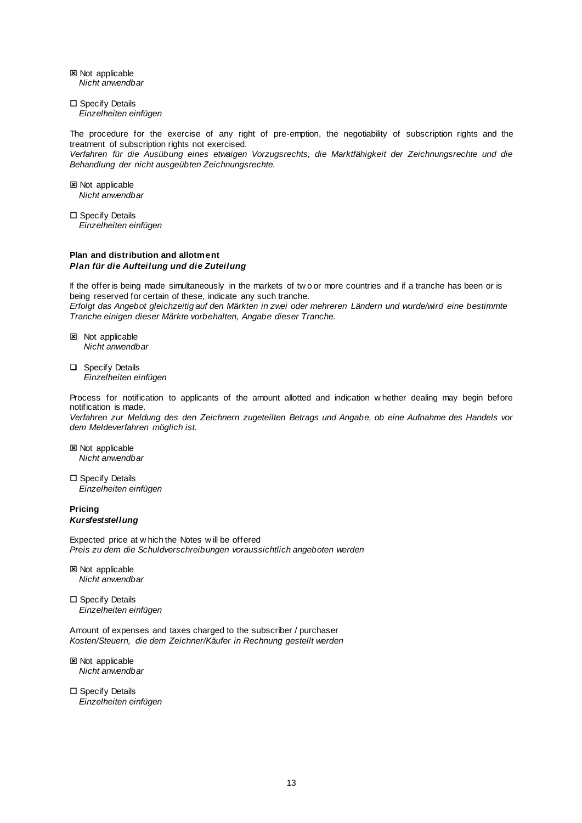**区 Not applicable** *Nicht anwendbar*

□ Specify Details *Einzelheiten einfügen*

The procedure for the exercise of any right of pre-emption, the negotiability of subscription rights and the treatment of subscription rights not exercised.

*Verfahren für die Ausübung eines etwaigen Vorzugsrechts, die Marktfähigkeit der Zeichnungsrechte und die Behandlung der nicht ausgeübten Zeichnungsrechte.*

**図 Not applicable** *Nicht anwendbar*

□ Specify Details *Einzelheiten einfügen*

### **Plan and distribution and allotment** *Plan für die Aufteilung und die Zuteilung*

If the offer is being made simultaneously in the markets of tw o or more countries and if a tranche has been or is being reserved for certain of these, indicate any such tranche. *Erfolgt das Angebot gleichzeitig auf den Märkten in zwei oder mehreren Ländern und wurde/wird eine bestimmte Tranche einigen dieser Märkte vorbehalten, Angabe dieser Tranche.*

- **図** Not applicable *Nicht anwendbar*
- □ Specify Details *Einzelheiten einfügen*

Process for notification to applicants of the amount allotted and indication w hether dealing may begin before notification is made.

*Verfahren zur Meldung des den Zeichnern zugeteilten Betrags und Angabe, ob eine Aufnahme des Handels vor dem Meldeverfahren möglich ist.*

**E** Not applicable *Nicht anwendbar*

□ Specify Details *Einzelheiten einfügen*

**Pricing** *Kursfeststellung*

Expected price at w hich the Notes w ill be offered *Preis zu dem die Schuldverschreibungen voraussichtlich angeboten werden*

**図 Not applicable** *Nicht anwendbar*

 $\square$  Specify Details *Einzelheiten einfügen*

Amount of expenses and taxes charged to the subscriber / purchaser *Kosten/Steuern, die dem Zeichner/Käufer in Rechnung gestellt werden*

**区 Not applicable** *Nicht anwendbar*

□ Specify Details *Einzelheiten einfügen*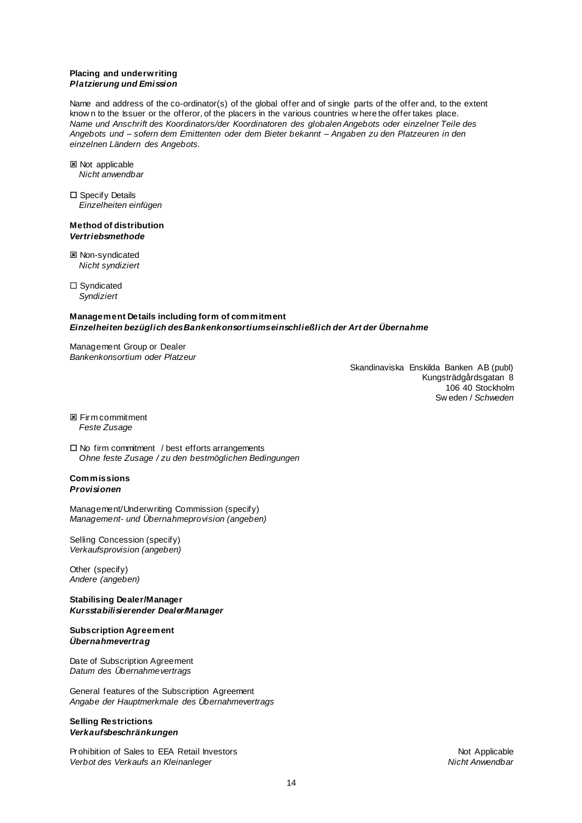### **Placing and underwriting** *Platzierung und Emission*

Name and address of the co-ordinator(s) of the global offer and of single parts of the offer and, to the extent know n to the Issuer or the offeror, of the placers in the various countries w here the offer takes place. *Name und Anschrift des Koordinators/der Koordinatoren des globalen Angebots oder einzelner Teile des Angebots und – sofern dem Emittenten oder dem Bieter bekannt – Angaben zu den Platzeuren in den einzelnen Ländern des Angebots.*

- Not applicable *Nicht anwendbar*
- □ Specify Details *Einzelheiten einfügen*

#### **Method of distribution** *Vertriebsmethode*

**図 Non-syndicated** *Nicht syndiziert*

□ Syndicated *Syndiziert*

# **Management Details including form of commitment** *Einzelheiten bezüglich des Bankenkonsortiums einschließlich der Art der Übernahme*

Management Group or Dealer *Bankenkonsortium oder Platzeur*

> Skandinaviska Enskilda Banken AB (publ) Kungsträdgårdsgatan 8 106 40 Stockholm Sw eden / *Schweden*

**E** Firm commitment *Feste Zusage*

 $\Box$  No firm commitment / best efforts arrangements *Ohne feste Zusage / zu den bestmöglichen Bedingungen*

# **Commissions** *Provisionen*

Management/Underwriting Commission (specify) *Management- und Übernahmeprovision (angeben)*

Selling Concession (specify) *Verkaufsprovision (angeben)*

Other (specify) *Andere (angeben)*

**Stabilising Dealer/Manager**  *Kursstabilisierender Dealer/Manager* 

# **Subscription Agreement** *Übernahmevertrag*

Date of Subscription Agreement *Datum des Übernahmevertrags*

General features of the Subscription Agreement *Angabe der Hauptmerkmale des Übernahmevertrags*

# **Selling Restrictions** *Verkaufsbeschränkungen*

Prohibition of Sales to EEA Retail Investors Not Applicable Not Applicable *Verbot des Verkaufs an Kleinanleger Nicht Anwendbar*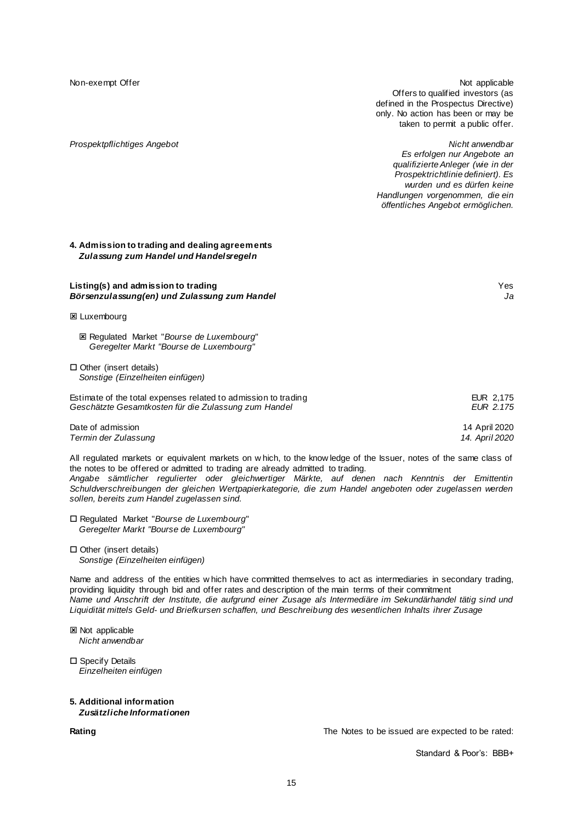Non-exempt Offer Not applicable not applicable not applicable not applicable not applicable not applicable not applicable Offers to qualified investors (as defined in the Prospectus Directive) only. No action has been or may be taken to permit a public offer.

*Prospektpflichtiges Angebot Nicht anwendbar Es erfolgen nur Angebote an qualifizierte Anleger (wie in der Prospektrichtlinie definiert). Es wurden und es dürfen keine Handlungen vorgenommen, die ein öffentliches Angebot ermöglichen.*

# **4. Admission to trading and dealing agreements** *Zulassung zum Handel und Handelsregeln*

#### **Listing(s) and admission to trading** Yes *Börsenzulassung(en) und Zulassung zum Handel Ja*

#### **E** Luxembourg

 Regulated Market "*Bourse de Luxembourg*" *Geregelter Markt "Bourse de Luxembourg"*

 $\Box$  Other (insert details) *Sonstige (Einzelheiten einfügen)*

| Estimate of the total expenses related to admission to trading | EUR 2.175     |
|----------------------------------------------------------------|---------------|
| Geschätzte Gesamtkosten für die Zulassung zum Handel           | EUR 2.175     |
| Date of admission                                              | 14 April 2020 |

*Termin der Zulassung 14. April 2020*

All regulated markets or equivalent markets on w hich, to the know ledge of the Issuer, notes of the same class of the notes to be offered or admitted to trading are already admitted to trading.

*Angabe sämtlicher regulierter oder gleichwertiger Märkte, auf denen nach Kenntnis der Emittentin Schuldverschreibungen der gleichen Wertpapierkategorie, die zum Handel angeboten oder zugelassen werden sollen, bereits zum Handel zugelassen sind.*

 Regulated Market "*Bourse de Luxembourg*" *Geregelter Markt "Bourse de Luxembourg"*

 Other (insert details) *Sonstige (Einzelheiten einfügen)*

Name and address of the entities w hich have committed themselves to act as intermediaries in secondary trading, providing liquidity through bid and offer rates and description of the main terms of their commitment *Name und Anschrift der Institute, die aufgrund einer Zusage als Intermediäre im Sekundärhandel tätig sind und Liquidität mittels Geld- und Briefkursen schaffen, und Beschreibung des wesentlichen Inhalts ihrer Zusage*

**図 Not applicable** *Nicht anwendbar*

□ Specify Details *Einzelheiten einfügen*

#### **5. Additional information** *Zusätzliche Informationen*

**Rating** The Notes to be issued are expected to be rated:

Standard & Poor's: BBB+